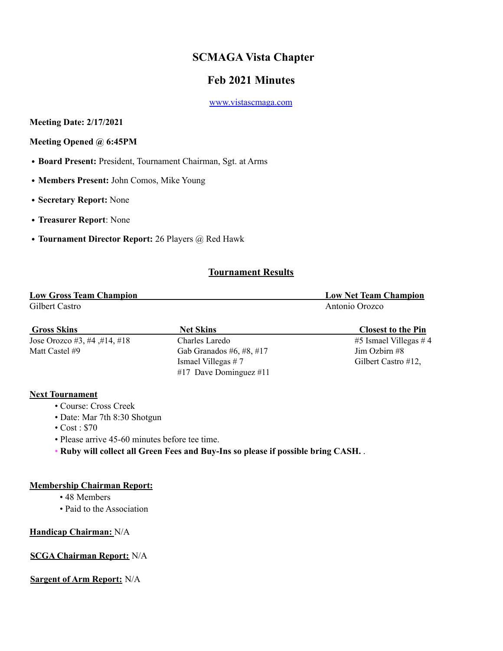# **SCMAGA Vista Chapter**

# **Feb 2021 Minutes**

www.vistascmaga.com

**Meeting Date: 2/17/2021**

**Meeting Opened @ 6:45PM**

- **Board Present:** President, Tournament Chairman, Sgt. at Arms
- **Members Present:** John Comos, Mike Young
- **Secretary Report:** None
- **Treasurer Report**: None
- **Tournament Director Report:** 26 Players @ Red Hawk

# **Tournament Results**

| <b>Low Gross Team Champion</b> | <b>Low Net Team Champion</b> |
|--------------------------------|------------------------------|
| Gilbert Castro                 | Antonio Orozco               |

| <b>Gross Skins</b>           | <b>Net Skins</b>           | <b>Closest to the Pin</b> |
|------------------------------|----------------------------|---------------------------|
| Jose Orozco #3, #4, #14, #18 | Charles Laredo             | $#5$ Ismael Villegas $#4$ |
| Matt Castel #9               | Gab Granados #6, #8, #17   | $\lim$ Ozbirn #8          |
|                              | Ismael Villegas $# 7$      | Gilbert Castro #12,       |
|                              | $#17$ Dave Dominguez $#11$ |                           |

## **Next Tournament**

- Course: Cross Creek
- Date: Mar 7th 8:30 Shotgun
- Cost : \$70
- Please arrive 45-60 minutes before tee time.
- **Ruby will collect all Green Fees and Buy-Ins so please if possible bring CASH.** .

## **Membership Chairman Report:**

- 48 Members
- Paid to the Association

#### **Handicap Chairman:** N/A

## **SCGA Chairman Report:** N/A

## **Sargent of Arm Report:** N/A